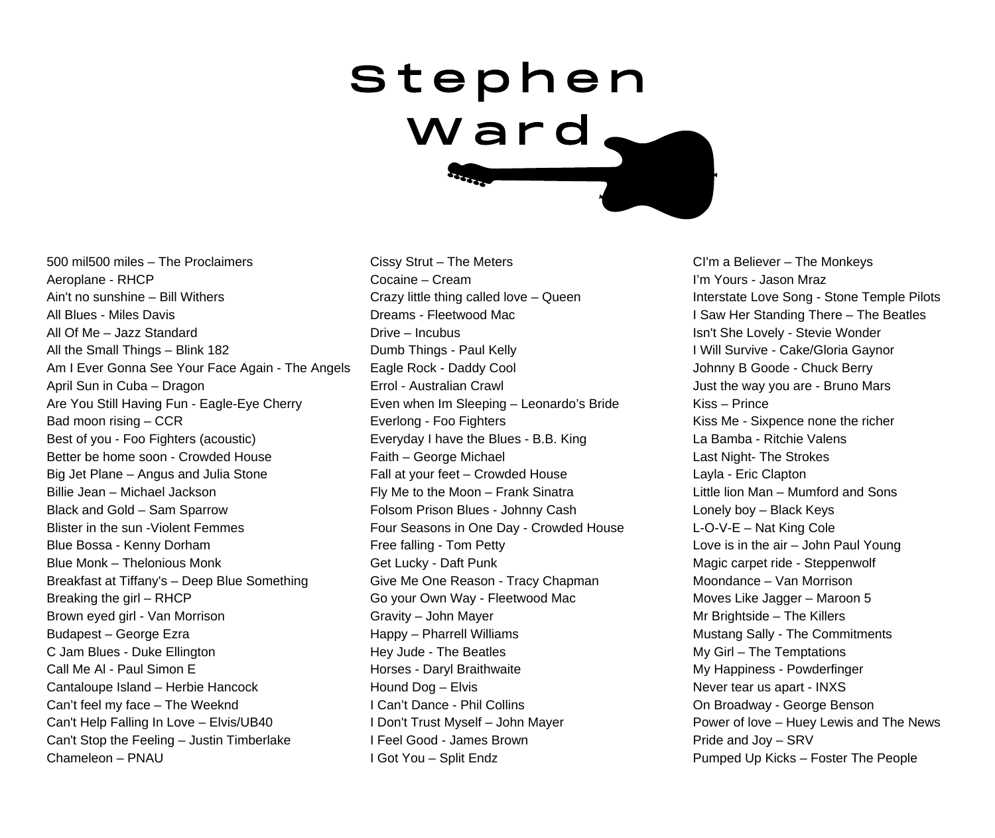## S t e p h e n W a r d

500 mil500 miles – The Proclaimers Aeroplane - RHCP Ain't no sunshine – Bill Withers All Blues - Miles Davis All Of Me – Jazz Standard All the Small Things – Blink 182 Am I Ever Gonna See Your Face Again - The Angels April Sun in Cuba – Dragon Are You Still Having Fun - Eagle-Eye Cherry Bad moon rising – CCR Best of you - Foo Fighters (acoustic) Better be home soon - Crowded House Big Jet Plane – Angus and Julia Stone Billie Jean – Michael Jackson Black and Gold – Sam Sparrow Blister in the sun -Violent Femmes Blue Bossa - Kenny Dorham Blue Monk – Thelonious Monk Breakfast at Tiffany's – Deep Blue Something Breaking the girl – RHCP Brown eyed girl - Van Morrison Budapest – George Ezra C Jam Blues - Duke Ellington Call Me Al - Paul Simon E Cantaloupe Island – Herbie Hancock Can't feel my face – The Weeknd Can't Help Falling In Love – Elvis/UB40 Can't Stop the Feeling – Justin Timberlake Chameleon – PNAU

Cissy Strut – The Meters Cocaine – Cream Crazy little thing called love – Queen Dreams - Fleetwood Mac Drive – Incubus Dumb Things - Paul Kelly Eagle Rock - Daddy Cool Errol - Australian Crawl Even when Im Sleeping – Leonardo's Bride Everlong - Foo Fighters Everyday I have the Blues - B.B. King Faith – George Michael Fall at your feet – Crowded House Fly Me to the Moon – Frank Sinatra Folsom Prison Blues - Johnny Cash Four Seasons in One Day - Crowded House Free falling - Tom Petty Get Lucky - Daft Punk Give Me One Reason - Tracy Chapman Go your Own Way - Fleetwood Mac Gravity – John Mayer Happy – Pharrell Williams Hey Jude - The Beatles Horses - Daryl Braithwaite Hound Dog – Elvis I Can't Dance - Phil Collins I Don't Trust Myself – John Mayer I Feel Good - James Brown I Got You – Split Endz

CI'm a Believer – The Monkeys I'm Yours - Jason Mraz Interstate Love Song - Stone Temple Pilots I Saw Her Standing There – The Beatles Isn't She Lovely - Stevie Wonder I Will Survive - Cake/Gloria Gaynor Johnny B Goode - Chuck Berry Just the way you are - Bruno Mars Kiss – Prince Kiss Me - Sixpence none the richer La Bamba - Ritchie Valens Last Night- The Strokes Layla - Eric Clapton Little lion Man – Mumford and Sons Lonely boy – Black Keys L-O-V-E – Nat King Cole Love is in the air – John Paul Young Magic carpet ride - Steppenwolf Moondance – Van Morrison Moves Like Jagger – Maroon 5 Mr Brightside – The Killers Mustang Sally - The Commitments My Girl – The Temptations My Happiness - Powderfinger Never tear us apart - INXS On Broadway - George Benson Power of love – Huey Lewis and The News Pride and Joy – SRV Pumped Up Kicks – Foster The People